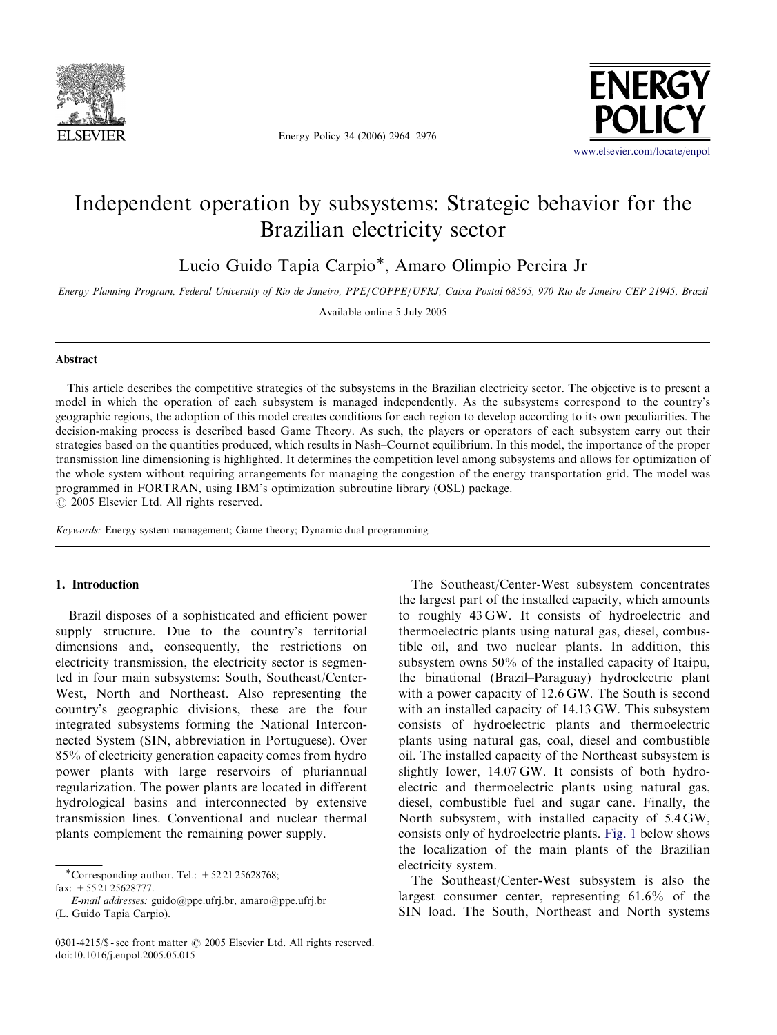

Energy Policy 34 (2006) 2964–2976



## Independent operation by subsystems: Strategic behavior for the Brazilian electricity sector

Lucio Guido Tapia Carpio<sup>\*</sup>, Amaro Olimpio Pereira Jr

Energy Planning Program, Federal University of Rio de Janeiro, PPE/COPPE/UFRJ, Caixa Postal 68565, 970 Rio de Janeiro CEP 21945, Brazil

Available online 5 July 2005

## Abstract

This article describes the competitive strategies of the subsystems in the Brazilian electricity sector. The objective is to present a model in which the operation of each subsystem is managed independently. As the subsystems correspond to the country's geographic regions, the adoption of this model creates conditions for each region to develop according to its own peculiarities. The decision-making process is described based Game Theory. As such, the players or operators of each subsystem carry out their strategies based on the quantities produced, which results in Nash–Cournot equilibrium. In this model, the importance of the proper transmission line dimensioning is highlighted. It determines the competition level among subsystems and allows for optimization of the whole system without requiring arrangements for managing the congestion of the energy transportation grid. The model was programmed in FORTRAN, using IBM's optimization subroutine library (OSL) package.  $\odot$  2005 Elsevier Ltd. All rights reserved.

Keywords: Energy system management; Game theory; Dynamic dual programming

## 1. Introduction

Brazil disposes of a sophisticated and efficient power supply structure. Due to the country's territorial dimensions and, consequently, the restrictions on electricity transmission, the electricity sector is segmented in four main subsystems: South, Southeast/Center-West, North and Northeast. Also representing the country's geographic divisions, these are the four integrated subsystems forming the National Interconnected System (SIN, abbreviation in Portuguese). Over 85% of electricity generation capacity comes from hydro power plants with large reservoirs of pluriannual regularization. The power plants are located in different hydrological basins and interconnected by extensive transmission lines. Conventional and nuclear thermal plants complement the remaining power supply.

\*Corresponding author. Tel.:  $+522125628768$ ; fax: +55 21 25628777.

E-mail addresses: guido@ppe.ufrj.br, amaro@ppe.ufrj.br (L. Guido Tapia Carpio).

The Southeast/Center-West subsystem concentrates the largest part of the installed capacity, which amounts to roughly 43 GW. It consists of hydroelectric and thermoelectric plants using natural gas, diesel, combustible oil, and two nuclear plants. In addition, this subsystem owns 50% of the installed capacity of Itaipu, the binational (Brazil–Paraguay) hydroelectric plant with a power capacity of 12.6 GW. The South is second with an installed capacity of 14.13 GW. This subsystem consists of hydroelectric plants and thermoelectric plants using natural gas, coal, diesel and combustible oil. The installed capacity of the Northeast subsystem is slightly lower, 14.07 GW. It consists of both hydroelectric and thermoelectric plants using natural gas, diesel, combustible fuel and sugar cane. Finally, the North subsystem, with installed capacity of 5.4 GW, consists only of hydroelectric plants. [Fig. 1](#page-1-0) below shows the localization of the main plants of the Brazilian electricity system.

The Southeast/Center-West subsystem is also the largest consumer center, representing 61.6% of the SIN load. The South, Northeast and North systems

<sup>0301-4215/\$ -</sup> see front matter  $\odot$  2005 Elsevier Ltd. All rights reserved. doi:10.1016/j.enpol.2005.05.015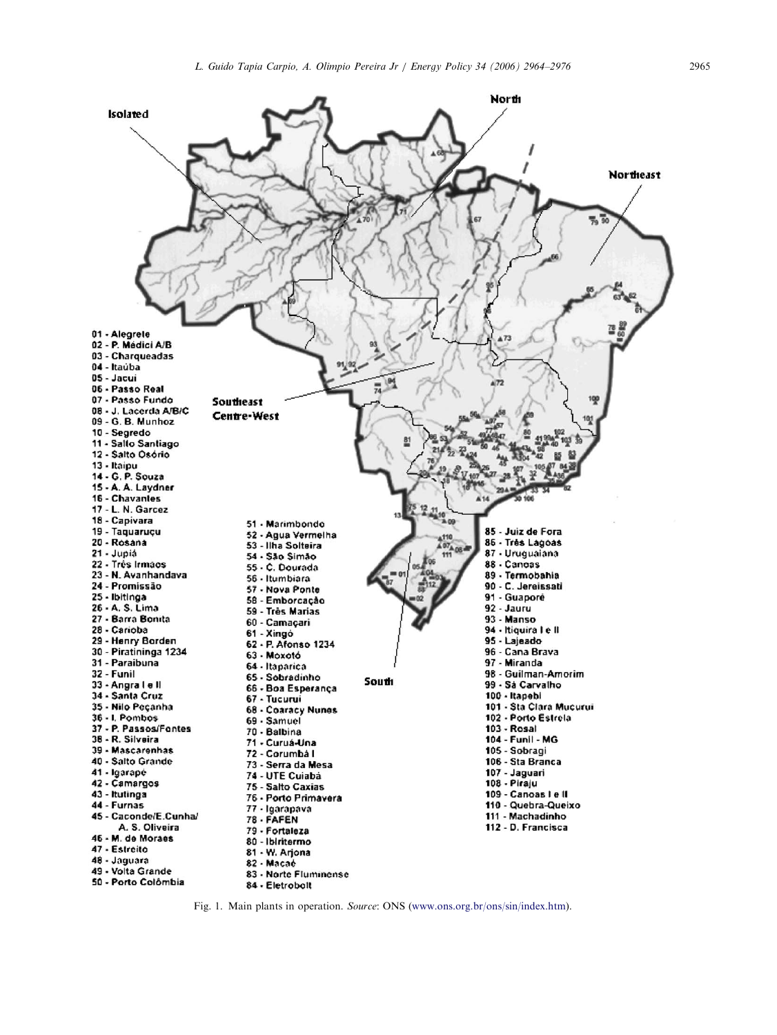<span id="page-1-0"></span>

Fig. 1. Main plants in operation. Source: ONS ([www.ons.org.br/ons/sin/index.htm\)](http://www.ons.org.br/ons/sin/index.htm).